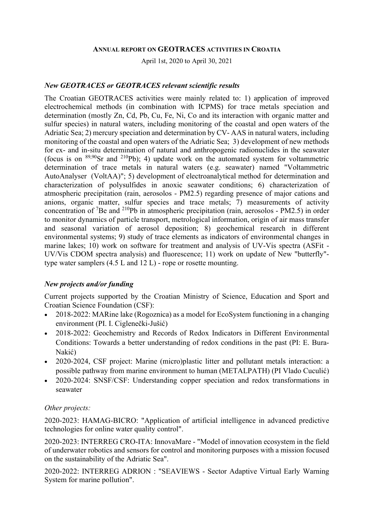#### ANNUAL REPORT ON GEOTRACES ACTIVITIES IN CROATIA

April 1st, 2020 to April 30, 2021

#### New GEOTRACES or GEOTRACES relevant scientific results

The Croatian GEOTRACES activities were mainly related to: 1) application of improved electrochemical methods (in combination with ICPMS) for trace metals speciation and determination (mostly Zn, Cd, Pb, Cu, Fe, Ni, Co and its interaction with organic matter and sulfur species) in natural waters, including monitoring of the coastal and open waters of the Adriatic Sea; 2) mercury speciation and determination by CV- AAS in natural waters, including monitoring of the coastal and open waters of the Adriatic Sea; 3) development of new methods for ex- and in-situ determination of natural and anthropogenic radionuclides in the seawater (focus is on  $89,90$ Sr and  $210$ Pb); 4) update work on the automated system for voltammetric determination of trace metals in natural waters (e.g. seawater) named "Voltammetric AutoAnalyser (VoltAA)"; 5) development of electroanalytical method for determination and characterization of polysulfides in anoxic seawater conditions; 6) characterization of atmospheric precipitation (rain, aerosolos - PM2.5) regarding presence of major cations and anions, organic matter, sulfur species and trace metals; 7) measurements of activity concentration of <sup>7</sup>Be and <sup>210</sup>Pb in atmospheric precipitation (rain, aerosolos - PM2.5) in order to monitor dynamics of particle transport, metrological information, origin of air mass transfer and seasonal variation of aerosol deposition; 8) geochemical research in different environmental systems; 9) study of trace elements as indicators of environmental changes in marine lakes; 10) work on software for treatment and analysis of UV-Vis spectra (ASFit - UV/Vis CDOM spectra analysis) and fluorescence; 11) work on update of New "butterfly" type water samplers (4.5 L and 12 L) - rope or rosette mounting.

### New projects and/or funding

Current projects supported by the Croatian Ministry of Science, Education and Sport and Croatian Science Foundation (CSF):

- 2018-2022: MARine lake (Rogoznica) as a model for EcoSystem functioning in a changing environment (PI. I. Ciglenečki-Jušić)
- 2018-2022: Geochemistry and Records of Redox Indicators in Different Environmental Conditions: Towards a better understanding of redox conditions in the past (PI: E. Bura-Nakić)
- 2020-2024, CSF project: Marine (micro)plastic litter and pollutant metals interaction: a possible pathway from marine environment to human (METALPATH) (PI Vlado Cuculić)
- 2020-2024: SNSF/CSF: Understanding copper speciation and redox transformations in seawater

#### Other projects:

2020-2023: HAMAG-BICRO: "Application of artificial intelligence in advanced predictive technologies for online water quality control".

2020-2023: INTERREG CRO-ITA: InnovaMare - "Model of innovation ecosystem in the field of underwater robotics and sensors for control and monitoring purposes with a mission focused on the sustainability of the Adriatic Sea".

2020-2022: INTERREG ADRION : "SEAVIEWS - Sector Adaptive Virtual Early Warning System for marine pollution".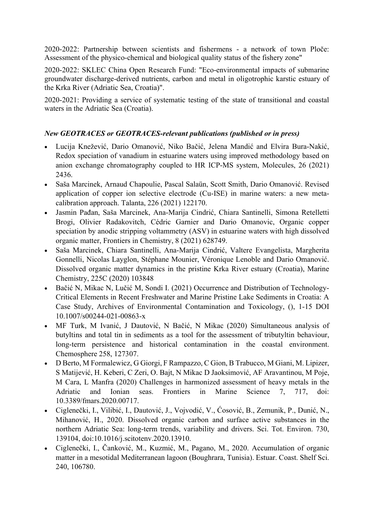2020-2022: Partnership between scientists and fishermens - a network of town Ploče: Assessment of the physico-chemical and biological quality status of the fishery zone"

2020-2022: SKLEC China Open Research Fund: "Eco-environmental impacts of submarine groundwater discharge-derived nutrients, carbon and metal in oligotrophic karstic estuary of the Krka River (Adriatic Sea, Croatia)".

2020-2021: Providing a service of systematic testing of the state of transitional and coastal waters in the Adriatic Sea (Croatia).

# New GEOTRACES or GEOTRACES-relevant publications (published or in press)

- Lucija Knežević, Dario Omanović, Niko Bačić, Jelena Mandić and Elvira Bura-Nakić, Redox speciation of vanadium in estuarine waters using improved methodology based on anion exchange chromatography coupled to HR ICP-MS system, Molecules, 26 (2021) 2436.
- Saša Marcinek, Arnaud Chapoulie, Pascal Salaün, Scott Smith, Dario Omanović. Revised application of copper ion selective electrode (Cu-ISE) in marine waters: a new metacalibration approach. Talanta, 226 (2021) 122170.
- Jasmin Pađan, Saša Marcinek, Ana-Marija Cindrić, Chiara Santinelli, Simona Retelletti Brogi, Olivier Radakovitch, Cédric Garnier and Dario Omanovic, Organic copper speciation by anodic stripping voltammetry (ASV) in estuarine waters with high dissolved organic matter, Frontiers in Chemistry, 8 (2021) 628749.
- Saša Marcinek, Chiara Santinelli, Ana-Marija Cindrić, Valtere Evangelista, Margherita Gonnelli, Nicolas Layglon, Stéphane Mounier, Véronique Lenoble and Dario Omanović. Dissolved organic matter dynamics in the pristine Krka River estuary (Croatia), Marine Chemistry, 225C (2020) 103848
- Bačić N, Mikac N, Lučić M, Sondi I. (2021) Occurrence and Distribution of Technology-Critical Elements in Recent Freshwater and Marine Pristine Lake Sediments in Croatia: A Case Study, Archives of Environmental Contamination and Toxicology, (), 1-15 DOI 10.1007/s00244-021-00863-x
- MF Turk, M Ivanić, J Dautović, N Bačić, N Mikac (2020) Simultaneous analysis of butyltins and total tin in sediments as a tool for the assessment of tributyltin behaviour, long-term persistence and historical contamination in the coastal environment. Chemosphere 258, 127307.
- D Berto, M Formalewicz, G Giorgi, F Rampazzo, C Gion, B Trabucco, M Giani, M. Lipizer, S Matijević, H. Keberi, C Zeri, O. Bajt, N Mikac D Jaoksimović, AF Aravantinou, M Poje, M Cara, L Manfra (2020) Challenges in harmonized assessment of heavy metals in the Adriatic and Ionian seas. Frontiers in Marine Science 7, 717, doi: 10.3389/fmars.2020.00717.
- Ciglenečki, I., Vilibić, I., Dautović, J., Vojvodić, V., Ćosović, B., Zemunik, P., Dunić, N., Mihanović, H., 2020. Dissolved organic carbon and surface active substances in the northern Adriatic Sea: long-term trends, variability and drivers. Sci. Tot. Environ. 730, 139104, doi:10.1016/j.scitotenv.2020.13910.
- Ciglenečki, I., Čanković, M., Kuzmić, M., Pagano, M., 2020. Accumulation of organic matter in a mesotidal Mediterranean lagoon (Boughrara, Tunisia). Estuar. Coast. Shelf Sci. 240, 106780.